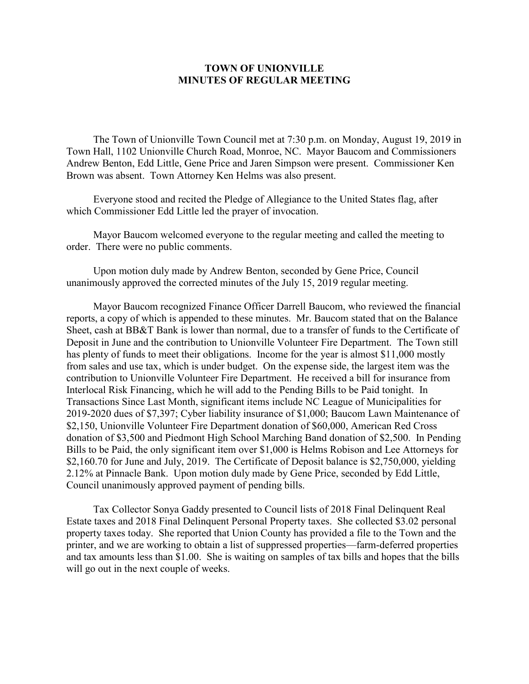## **TOWN OF UNIONVILLE MINUTES OF REGULAR MEETING**

The Town of Unionville Town Council met at 7:30 p.m. on Monday, August 19, 2019 in Town Hall, 1102 Unionville Church Road, Monroe, NC. Mayor Baucom and Commissioners Andrew Benton, Edd Little, Gene Price and Jaren Simpson were present. Commissioner Ken Brown was absent. Town Attorney Ken Helms was also present.

Everyone stood and recited the Pledge of Allegiance to the United States flag, after which Commissioner Edd Little led the prayer of invocation.

Mayor Baucom welcomed everyone to the regular meeting and called the meeting to order. There were no public comments.

Upon motion duly made by Andrew Benton, seconded by Gene Price, Council unanimously approved the corrected minutes of the July 15, 2019 regular meeting.

Mayor Baucom recognized Finance Officer Darrell Baucom, who reviewed the financial reports, a copy of which is appended to these minutes. Mr. Baucom stated that on the Balance Sheet, cash at BB&T Bank is lower than normal, due to a transfer of funds to the Certificate of Deposit in June and the contribution to Unionville Volunteer Fire Department. The Town still has plenty of funds to meet their obligations. Income for the year is almost \$11,000 mostly from sales and use tax, which is under budget. On the expense side, the largest item was the contribution to Unionville Volunteer Fire Department. He received a bill for insurance from Interlocal Risk Financing, which he will add to the Pending Bills to be Paid tonight. In Transactions Since Last Month, significant items include NC League of Municipalities for 2019-2020 dues of \$7,397; Cyber liability insurance of \$1,000; Baucom Lawn Maintenance of \$2,150, Unionville Volunteer Fire Department donation of \$60,000, American Red Cross donation of \$3,500 and Piedmont High School Marching Band donation of \$2,500. In Pending Bills to be Paid, the only significant item over \$1,000 is Helms Robison and Lee Attorneys for \$2,160.70 for June and July, 2019. The Certificate of Deposit balance is \$2,750,000, yielding 2.12% at Pinnacle Bank. Upon motion duly made by Gene Price, seconded by Edd Little, Council unanimously approved payment of pending bills.

Tax Collector Sonya Gaddy presented to Council lists of 2018 Final Delinquent Real Estate taxes and 2018 Final Delinquent Personal Property taxes. She collected \$3.02 personal property taxes today. She reported that Union County has provided a file to the Town and the printer, and we are working to obtain a list of suppressed properties—farm-deferred properties and tax amounts less than \$1.00. She is waiting on samples of tax bills and hopes that the bills will go out in the next couple of weeks.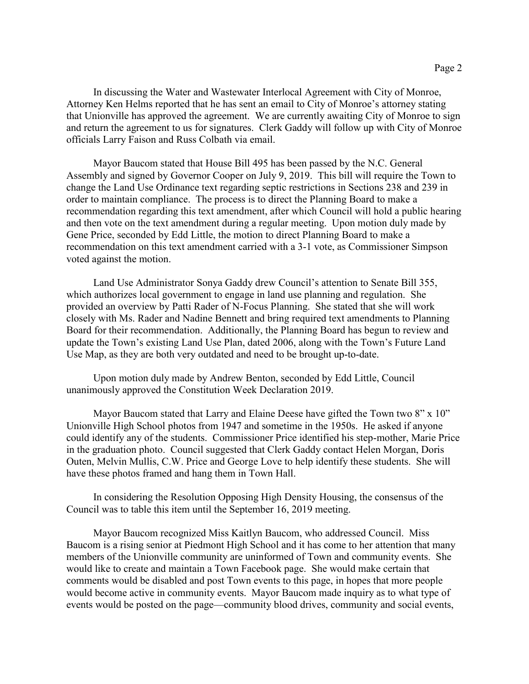In discussing the Water and Wastewater Interlocal Agreement with City of Monroe, Attorney Ken Helms reported that he has sent an email to City of Monroe's attorney stating that Unionville has approved the agreement. We are currently awaiting City of Monroe to sign and return the agreement to us for signatures. Clerk Gaddy will follow up with City of Monroe officials Larry Faison and Russ Colbath via email.

Mayor Baucom stated that House Bill 495 has been passed by the N.C. General Assembly and signed by Governor Cooper on July 9, 2019. This bill will require the Town to change the Land Use Ordinance text regarding septic restrictions in Sections 238 and 239 in order to maintain compliance. The process is to direct the Planning Board to make a recommendation regarding this text amendment, after which Council will hold a public hearing and then vote on the text amendment during a regular meeting. Upon motion duly made by Gene Price, seconded by Edd Little, the motion to direct Planning Board to make a recommendation on this text amendment carried with a 3-1 vote, as Commissioner Simpson voted against the motion.

Land Use Administrator Sonya Gaddy drew Council's attention to Senate Bill 355, which authorizes local government to engage in land use planning and regulation. She provided an overview by Patti Rader of N-Focus Planning. She stated that she will work closely with Ms. Rader and Nadine Bennett and bring required text amendments to Planning Board for their recommendation. Additionally, the Planning Board has begun to review and update the Town's existing Land Use Plan, dated 2006, along with the Town's Future Land Use Map, as they are both very outdated and need to be brought up-to-date.

Upon motion duly made by Andrew Benton, seconded by Edd Little, Council unanimously approved the Constitution Week Declaration 2019.

Mayor Baucom stated that Larry and Elaine Deese have gifted the Town two  $8'' \times 10''$ Unionville High School photos from 1947 and sometime in the 1950s. He asked if anyone could identify any of the students. Commissioner Price identified his step-mother, Marie Price in the graduation photo. Council suggested that Clerk Gaddy contact Helen Morgan, Doris Outen, Melvin Mullis, C.W. Price and George Love to help identify these students. She will have these photos framed and hang them in Town Hall.

In considering the Resolution Opposing High Density Housing, the consensus of the Council was to table this item until the September 16, 2019 meeting.

Mayor Baucom recognized Miss Kaitlyn Baucom, who addressed Council. Miss Baucom is a rising senior at Piedmont High School and it has come to her attention that many members of the Unionville community are uninformed of Town and community events. She would like to create and maintain a Town Facebook page. She would make certain that comments would be disabled and post Town events to this page, in hopes that more people would become active in community events. Mayor Baucom made inquiry as to what type of events would be posted on the page—community blood drives, community and social events,